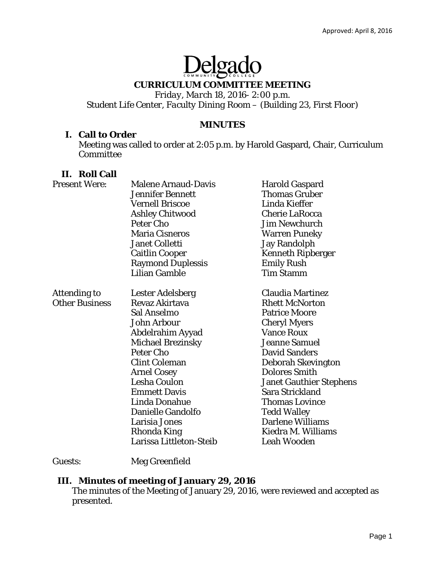# Delgado

# **CURRICULUM COMMITTEE MEETING**

*Friday, March 18, 2016- 2:00 p.m. Student Life Center, Faculty Dining Room – (Building 23, First Floor)* 

# **MINUTES**

## **I. Call to Order**

Meeting was called to order at 2:05 p.m. by Harold Gaspard, Chair, Curriculum Committee

# **II. Roll Call**

| <b>Present Were:</b>  | <b>Malene Arnaud-Davis</b> | <b>Harold Gaspard</b>          |
|-----------------------|----------------------------|--------------------------------|
|                       | <b>Jennifer Bennett</b>    | <b>Thomas Gruber</b>           |
|                       | <b>Vernell Briscoe</b>     | Linda Kieffer                  |
|                       | <b>Ashley Chitwood</b>     | <b>Cherie LaRocca</b>          |
|                       | <b>Peter Cho</b>           | <b>Jim Newchurch</b>           |
|                       | <b>Maria Cisneros</b>      | <b>Warren Puneky</b>           |
|                       | Janet Colletti             | <b>Jay Randolph</b>            |
|                       | <b>Caitlin Cooper</b>      | <b>Kenneth Ripberger</b>       |
|                       | <b>Raymond Duplessis</b>   | <b>Emily Rush</b>              |
|                       | <b>Lilian Gamble</b>       | <b>Tim Stamm</b>               |
| Attending to          | Lester Adelsberg           | Claudia Martinez               |
| <b>Other Business</b> | Revaz Akirtava             | <b>Rhett McNorton</b>          |
|                       | Sal Anselmo                | <b>Patrice Moore</b>           |
|                       | <b>John Arbour</b>         | <b>Cheryl Myers</b>            |
|                       | Abdelrahim Ayyad           | <b>Vance Roux</b>              |
|                       | <b>Michael Brezinsky</b>   | <b>Jeanne Samuel</b>           |
|                       | Peter Cho                  | <b>David Sanders</b>           |
|                       | <b>Clint Coleman</b>       | Deborah Skevington             |
|                       | <b>Arnel Cosey</b>         | <b>Dolores Smith</b>           |
|                       | Lesha Coulon               | <b>Janet Gauthier Stephens</b> |
|                       | <b>Emmett Davis</b>        | Sara Strickland                |
|                       | Linda Donahue              | <b>Thomas Lovince</b>          |
|                       | Danielle Gandolfo          | <b>Tedd Walley</b>             |
|                       | Larisia Jones              | <b>Darlene Williams</b>        |
|                       | Rhonda King                | Kiedra M. Williams             |
|                       | Larissa Littleton-Steib    | <b>Leah Wooden</b>             |

# Guests: Meg Greenfield

# **III. Minutes of meeting of January 29, 2016**

The minutes of the Meeting of January 29, 2016, were reviewed and accepted as presented.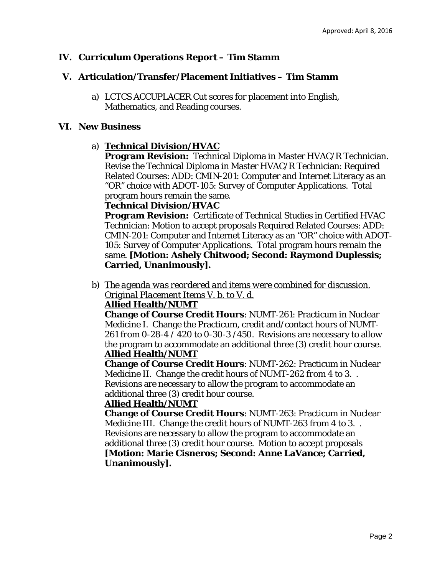# **IV. Curriculum Operations Report – Tim Stamm**

# **V. Articulation/Transfer/Placement Initiatives – Tim Stamm**

a) LCTCS ACCUPLACER Cut scores for placement into English, Mathematics, and Reading courses.

# **VI. New Business**

# a) **Technical Division/HVAC**

**Program Revision:** Technical Diploma in Master HVAC/R Technician. Revise the Technical Diploma in Master HVAC/R Technician: Required Related Courses: ADD: CMIN-201: Computer and Internet Literacy as an "OR" choice with ADOT-105: Survey of Computer Applications. Total program hours remain the same.

# **Technical Division/HVAC**

**Program Revision:** Certificate of Technical Studies in Certified HVAC Technician: Motion to accept proposals Required Related Courses: ADD: CMIN-201: Computer and Internet Literacy as an "OR" choice with ADOT-105: Survey of Computer Applications. Total program hours remain the same. **[Motion: Ashely Chitwood; Second: Raymond Duplessis; Carried, Unanimously].**

b) *The agenda was reordered and items were combined for discussion. Original Placement Items V. b. to V. d.* 

# **Allied Health/NUMT**

**Change of Course Credit Hours**: NUMT-261: Practicum in Nuclear Medicine I. Change the Practicum, credit and/contact hours of NUMT-261 *from* 0-28-4 / 420 *to* 0-30-3 /450. Revisions are necessary to allow the program to accommodate an additional three (3) credit hour course. **Allied Health/NUMT** 

**Change of Course Credit Hours**: NUMT-262: Practicum in Nuclear Medicine II. Change the credit hours of NUMT-262 *from* 4 *to* 3. . Revisions are necessary to allow the program to accommodate an additional three (3) credit hour course.

# **Allied Health/NUMT**

**Change of Course Credit Hours**: NUMT-263: Practicum in Nuclear Medicine III. Change the credit hours of NUMT-263 *from* 4 *to* 3. . Revisions are necessary to allow the program to accommodate an additional three (3) credit hour course. Motion to accept proposals **[Motion: Marie Cisneros; Second: Anne LaVance; Carried, Unanimously].**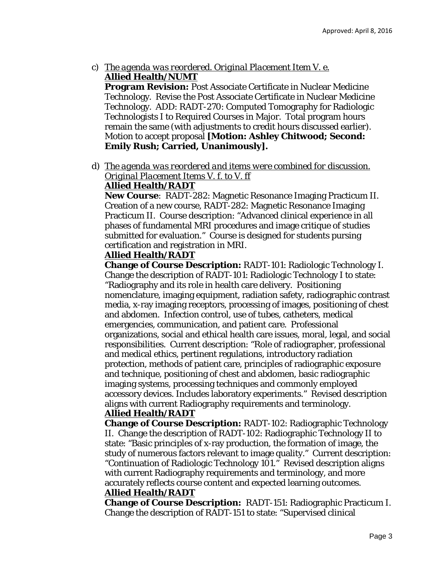c) *The agenda was reordered. Original Placement Item V. e.*  **Allied Health/NUMT** 

**Program Revision:** Post Associate Certificate in Nuclear Medicine Technology. Revise the Post Associate Certificate in Nuclear Medicine Technology. ADD: RADT-270: Computed Tomography for Radiologic Technologists I to Required Courses in Major. Total program hours remain the same (with adjustments to credit hours discussed earlier). Motion to accept proposal **[Motion: Ashley Chitwood; Second: Emily Rush; Carried, Unanimously].** 

d) *The agenda was reordered and items were combined for discussion. Original Placement Items V. f. to V. ff* 

# **Allied Health/RADT**

**New Course**: RADT-282: Magnetic Resonance Imaging Practicum II. Creation of a new course, RADT-282: Magnetic Resonance Imaging Practicum II. Course description: "Advanced clinical experience in all phases of fundamental MRI procedures and image critique of studies submitted for evaluation." Course is designed for students pursing certification and registration in MRI.

# **Allied Health/RADT**

**Change of Course Description:** RADT-101: Radiologic Technology I. Change the description of RADT-101: Radiologic Technology I to state: "Radiography and its role in health care delivery. Positioning nomenclature, imaging equipment, radiation safety, radiographic contrast media, x-ray imaging receptors, processing of images, positioning of chest and abdomen. Infection control, use of tubes, catheters, medical emergencies, communication, and patient care. Professional organizations, social and ethical health care issues, moral, legal, and social responsibilities. Current description: "Role of radiographer, professional and medical ethics, pertinent regulations, introductory radiation protection, methods of patient care, principles of radiographic exposure and technique, positioning of chest and abdomen, basic radiographic imaging systems, processing techniques and commonly employed accessory devices. Includes laboratory experiments." Revised description aligns with current Radiography requirements and terminology.

# **Allied Health/RADT**

**Change of Course Description:** RADT-102: Radiographic Technology II. Change the description of RADT-102: Radiographic Technology II to state: "Basic principles of x-ray production, the formation of image, the study of numerous factors relevant to image quality." Current description: "Continuation of Radiologic Technology 101." Revised description aligns with current Radiography requirements and terminology, and more accurately reflects course content and expected learning outcomes.

# **Allied Health/RADT**

**Change of Course Description:** RADT-151: Radiographic Practicum I. Change the description of RADT-151 to state: "Supervised clinical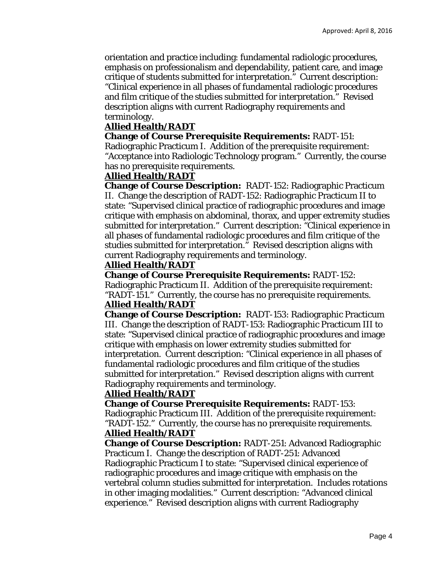orientation and practice including: fundamental radiologic procedures, emphasis on professionalism and dependability, patient care, and image critique of students submitted for interpretation." Current description: "Clinical experience in all phases of fundamental radiologic procedures and film critique of the studies submitted for interpretation." Revised description aligns with current Radiography requirements and terminology.

# **Allied Health/RADT**

**Change of Course Prerequisite Requirements:** RADT-151: Radiographic Practicum I. Addition of the prerequisite requirement: "Acceptance into Radiologic Technology program." Currently, the course

has no prerequisite requirements.

#### **Allied Health/RADT**

**Change of Course Description:** RADT-152: Radiographic Practicum II. Change the description of RADT-152: Radiographic Practicum II to state: "Supervised clinical practice of radiographic procedures and image critique with emphasis on abdominal, thorax, and upper extremity studies submitted for interpretation." Current description: "Clinical experience in all phases of fundamental radiologic procedures and film critique of the studies submitted for interpretation." Revised description aligns with current Radiography requirements and terminology.

## **Allied Health/RADT**

**Change of Course Prerequisite Requirements:** RADT-152: Radiographic Practicum II. Addition of the prerequisite requirement:

"RADT-151." Currently, the course has no prerequisite requirements. **Allied Health/RADT** 

**Change of Course Description:** RADT-153: Radiographic Practicum III. Change the description of RADT-153: Radiographic Practicum III to state: "Supervised clinical practice of radiographic procedures and image critique with emphasis on lower extremity studies submitted for interpretation. Current description: "Clinical experience in all phases of fundamental radiologic procedures and film critique of the studies submitted for interpretation." Revised description aligns with current Radiography requirements and terminology.

## **Allied Health/RADT**

**Change of Course Prerequisite Requirements:** RADT-153: Radiographic Practicum III. Addition of the prerequisite requirement: "RADT-152." Currently, the course has no prerequisite requirements. **Allied Health/RADT** 

**Change of Course Description:** RADT-251: Advanced Radiographic Practicum I. Change the description of RADT-251: Advanced Radiographic Practicum I to state: "Supervised clinical experience of radiographic procedures and image critique with emphasis on the vertebral column studies submitted for interpretation. Includes rotations in other imaging modalities." Current description: "Advanced clinical experience." Revised description aligns with current Radiography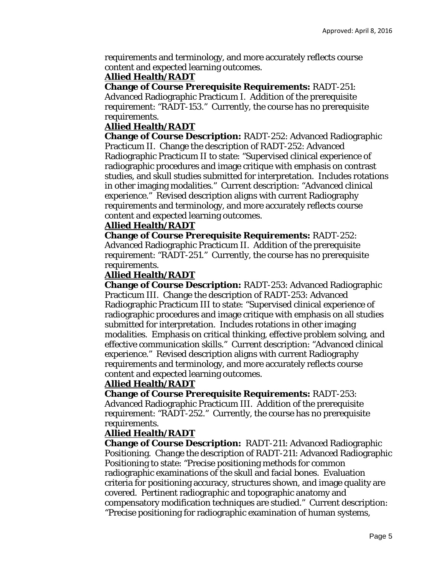requirements and terminology, and more accurately reflects course content and expected learning outcomes.

#### **Allied Health/RADT**

**Change of Course Prerequisite Requirements:** RADT-251:

Advanced Radiographic Practicum I. Addition of the prerequisite requirement: "RADT-153." Currently, the course has no prerequisite requirements.

#### **Allied Health/RADT**

**Change of Course Description:** RADT-252: Advanced Radiographic Practicum II. Change the description of RADT-252: Advanced Radiographic Practicum II to state: "Supervised clinical experience of radiographic procedures and image critique with emphasis on contrast studies, and skull studies submitted for interpretation. Includes rotations in other imaging modalities." Current description: "Advanced clinical experience." Revised description aligns with current Radiography requirements and terminology, and more accurately reflects course content and expected learning outcomes.

#### **Allied Health/RADT**

**Change of Course Prerequisite Requirements:** RADT-252: Advanced Radiographic Practicum II. Addition of the prerequisite requirement: "RADT-251." Currently, the course has no prerequisite requirements.

#### **Allied Health/RADT**

**Change of Course Description:** RADT-253: Advanced Radiographic Practicum III. Change the description of RADT-253: Advanced Radiographic Practicum III to state: "Supervised clinical experience of radiographic procedures and image critique with emphasis on all studies submitted for interpretation. Includes rotations in other imaging modalities. Emphasis on critical thinking, effective problem solving, and effective communication skills." Current description: "Advanced clinical experience." Revised description aligns with current Radiography requirements and terminology, and more accurately reflects course content and expected learning outcomes.

## **Allied Health/RADT**

**Change of Course Prerequisite Requirements:** RADT-253: Advanced Radiographic Practicum III. Addition of the prerequisite requirement: "RADT-252." Currently, the course has no prerequisite requirements.

## **Allied Health/RADT**

**Change of Course Description:** RADT-211: Advanced Radiographic Positioning. Change the description of RADT-211: Advanced Radiographic Positioning to state: "Precise positioning methods for common radiographic examinations of the skull and facial bones. Evaluation criteria for positioning accuracy, structures shown, and image quality are covered. Pertinent radiographic and topographic anatomy and compensatory modification techniques are studied." Current description: "Precise positioning for radiographic examination of human systems,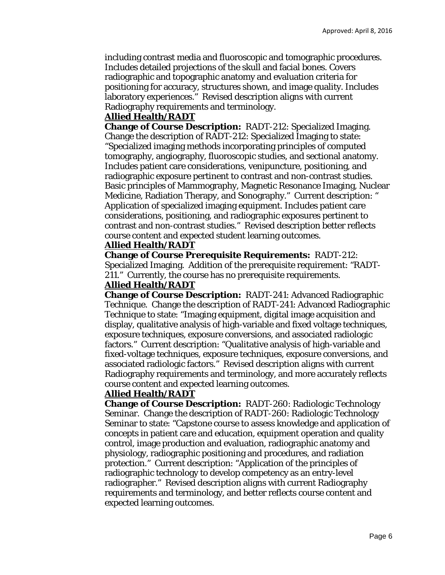including contrast media and fluoroscopic and tomographic procedures. Includes detailed projections of the skull and facial bones. Covers radiographic and topographic anatomy and evaluation criteria for positioning for accuracy, structures shown, and image quality. Includes laboratory experiences." Revised description aligns with current Radiography requirements and terminology.

## **Allied Health/RADT**

**Change of Course Description:** RADT-212: Specialized Imaging. Change the description of RADT-212: Specialized Imaging to state: "Specialized imaging methods incorporating principles of computed tomography, angiography, fluoroscopic studies, and sectional anatomy. Includes patient care considerations, venipuncture, positioning, and radiographic exposure pertinent to contrast and non-contrast studies. Basic principles of Mammography, Magnetic Resonance Imaging, Nuclear Medicine, Radiation Therapy, and Sonography." Current description: " Application of specialized imaging equipment. Includes patient care considerations, positioning, and radiographic exposures pertinent to contrast and non-contrast studies." Revised description better reflects course content and expected student learning outcomes.

## **Allied Health/RADT**

**Change of Course Prerequisite Requirements:** RADT-212: Specialized Imaging. Addition of the prerequisite requirement: "RADT-211." Currently, the course has no prerequisite requirements.

# **Allied Health/RADT**

**Change of Course Description:** RADT-241: Advanced Radiographic Technique. Change the description of RADT-241: Advanced Radiographic Technique to state: "Imaging equipment, digital image acquisition and display, qualitative analysis of high-variable and fixed voltage techniques, exposure techniques, exposure conversions, and associated radiologic factors." Current description: "Qualitative analysis of high-variable and fixed-voltage techniques, exposure techniques, exposure conversions, and associated radiologic factors." Revised description aligns with current Radiography requirements and terminology, and more accurately reflects course content and expected learning outcomes.

## **Allied Health/RADT**

**Change of Course Description:** RADT-260: Radiologic Technology Seminar. Change the description of RADT-260: Radiologic Technology Seminar to state: "Capstone course to assess knowledge and application of concepts in patient care and education, equipment operation and quality control, image production and evaluation, radiographic anatomy and physiology, radiographic positioning and procedures, and radiation protection." Current description: "Application of the principles of radiographic technology to develop competency as an entry-level radiographer." Revised description aligns with current Radiography requirements and terminology, and better reflects course content and expected learning outcomes.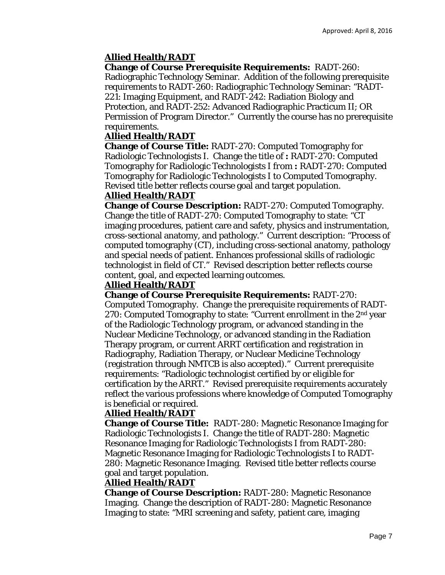# **Allied Health/RADT**

**Change of Course Prerequisite Requirements:** RADT-260: Radiographic Technology Seminar. Addition of the following prerequisite requirements to RADT-260: Radiographic Technology Seminar: "RADT-221: Imaging Equipment, and RADT-242: Radiation Biology and Protection, and RADT-252: Advanced Radiographic Practicum II; OR Permission of Program Director." Currently the course has no prerequisite requirements.

# **Allied Health/RADT**

**Change of Course Title:** RADT-270: Computed Tomography for Radiologic Technologists I. Change the title of **:** RADT-270: Computed Tomography for Radiologic Technologists I *from* **:** RADT-270: Computed Tomography for Radiologic Technologists I *to* Computed Tomography. Revised title better reflects course goal and target population.

# **Allied Health/RADT**

**Change of Course Description:** RADT-270: Computed Tomography. Change the title of RADT-270: Computed Tomography to state: "CT imaging procedures, patient care and safety, physics and instrumentation, cross-sectional anatomy, and pathology." Current description: "Process of computed tomography (CT), including cross-sectional anatomy, pathology and special needs of patient. Enhances professional skills of radiologic technologist in field of CT." Revised description better reflects course content, goal, and expected learning outcomes.

# **Allied Health/RADT**

**Change of Course Prerequisite Requirements:** RADT-270: Computed Tomography. Change the prerequisite requirements of RADT-270: Computed Tomography to state: "Current enrollment in the  $2<sup>nd</sup>$  year of the Radiologic Technology program, or advanced standing in the Nuclear Medicine Technology, or advanced standing in the Radiation Therapy program, or current ARRT certification and registration in Radiography, Radiation Therapy, or Nuclear Medicine Technology (registration through NMTCB is also accepted)." Current prerequisite requirements: "Radiologic technologist certified by or eligible for certification by the ARRT." Revised prerequisite requirements accurately reflect the various professions where knowledge of Computed Tomography is beneficial or required.

# **Allied Health/RADT**

**Change of Course Title:** RADT-280: Magnetic Resonance Imaging for Radiologic Technologists I. Change the title of RADT-280: Magnetic Resonance Imaging for Radiologic Technologists I *from* RADT-280: Magnetic Resonance Imaging for Radiologic Technologists I *to* RADT-280: Magnetic Resonance Imaging. Revised title better reflects course goal and target population.

# **Allied Health/RADT**

**Change of Course Description:** RADT-280: Magnetic Resonance Imaging. Change the description of RADT-280: Magnetic Resonance Imaging to state: "MRI screening and safety, patient care, imaging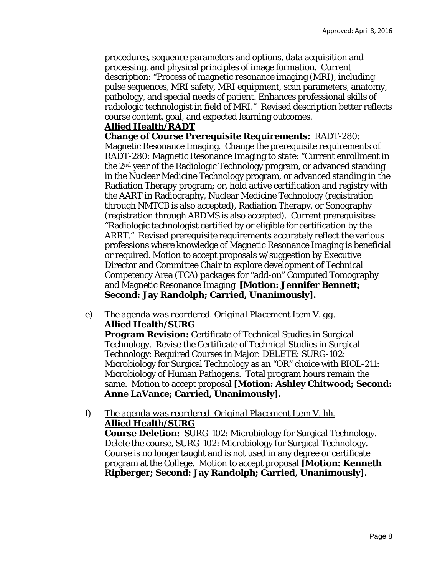procedures, sequence parameters and options, data acquisition and processing, and physical principles of image formation. Current description: "Process of magnetic resonance imaging (MRI), including pulse sequences, MRI safety, MRI equipment, scan parameters, anatomy, pathology, and special needs of patient. Enhances professional skills of radiologic technologist in field of MRI." Revised description better reflects course content, goal, and expected learning outcomes.

# **Allied Health/RADT**

**Change of Course Prerequisite Requirements:** RADT-280: Magnetic Resonance Imaging. Change the prerequisite requirements of RADT-280: Magnetic Resonance Imaging to state: "Current enrollment in the 2nd year of the Radiologic Technology program, or advanced standing in the Nuclear Medicine Technology program, or advanced standing in the Radiation Therapy program; or, hold active certification and registry with the AART in Radiography, Nuclear Medicine Technology (registration through NMTCB is also accepted), Radiation Therapy, or Sonography (registration through ARDMS is also accepted). Current prerequisites: "Radiologic technologist certified by or eligible for certification by the ARRT." Revised prerequisite requirements accurately reflect the various professions where knowledge of Magnetic Resonance Imaging is beneficial or required. Motion to accept proposals w/suggestion by Executive Director and Committee Chair to explore development of Technical Competency Area (TCA) packages for "add-on" Computed Tomography and Magnetic Resonance Imaging **[Motion: Jennifer Bennett; Second: Jay Randolph; Carried, Unanimously].** 

e) *The agenda was reordered. Original Placement Item V. gg.*  **Allied Health/SURG** 

**Program Revision:** Certificate of Technical Studies in Surgical Technology. Revise the Certificate of Technical Studies in Surgical Technology: Required Courses in Major: DELETE: SURG-102: Microbiology for Surgical Technology as an "OR" choice with BIOL-211: Microbiology of Human Pathogens. Total program hours remain the same. Motion to accept proposal **[Motion: Ashley Chitwood; Second: Anne LaVance; Carried, Unanimously].** 

f) *The agenda was reordered. Original Placement Item V. hh.*  **Allied Health/SURG** 

**Course Deletion:** SURG-102: Microbiology for Surgical Technology. Delete the course, SURG-102: Microbiology for Surgical Technology. Course is no longer taught and is not used in any degree or certificate program at the College. Motion to accept proposal **[Motion: Kenneth Ripberger; Second: Jay Randolph; Carried, Unanimously].**